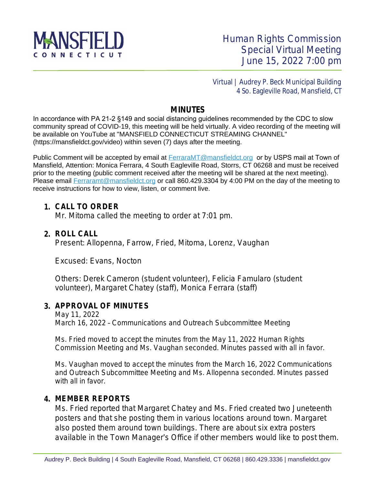

 Virtual | Audrey P. Beck Municipal Building 4 So. Eagleville Road, Mansfield, CT

## **MINUTES**

In accordance with PA 21-2 §149 and social distancing guidelines recommended by the CDC to slow community spread of COVID-19, this meeting will be held virtually. A video recording of the meeting will be available on YouTube at "MANSFIELD CONNECTICUT STREAMING CHANNEL" (https://mansfieldct.gov/video) within seven (7) days after the meeting.

Public Comment will be accepted by email at **FerraraMT@mansfieldct.org** or by USPS mail at Town of Mansfield, Attention: Monica Ferrara, 4 South Eagleville Road, Storrs, CT 06268 and must be received prior to the meeting (public comment received after the meeting will be shared at the next meeting). Please email [Ferraramt@mansfieldct.org](mailto:Ferraramt@mansfieldct.org) or call 860.429.3304 by 4:00 PM on the day of the meeting to receive instructions for how to view, listen, or comment live.

### **1. CALL TO ORDER**

Mr. Mitoma called the meeting to order at 7:01 pm.

## **2. ROLL CALL**

Present: Allopenna, Farrow, Fried, Mitoma, Lorenz, Vaughan

Excused: Evans, Nocton

Others: Derek Cameron (student volunteer), Felicia Famularo (student volunteer), Margaret Chatey (staff), Monica Ferrara (staff)

## **3. APPROVAL OF MINUTES**

May 11, 2022 March 16, 2022 – Communications and Outreach Subcommittee Meeting

Ms. Fried moved to accept the minutes from the May 11, 2022 Human Rights Commission Meeting and Ms. Vaughan seconded. Minutes passed with all in favor.

Ms. Vaughan moved to accept the minutes from the March 16, 2022 Communications and Outreach Subcommittee Meeting and Ms. Allopenna seconded. Minutes passed with all in favor.

### **4. MEMBER REPORTS**

Ms. Fried reported that Margaret Chatey and Ms. Fried created two Juneteenth posters and that she posting them in various locations around town. Margaret also posted them around town buildings. There are about six extra posters available in the Town Manager's Office if other members would like to post them.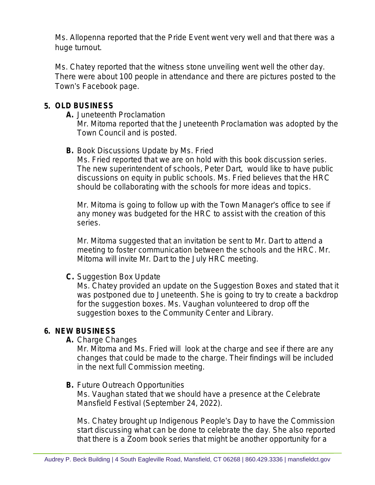Ms. Allopenna reported that the Pride Event went very well and that there was a huge turnout.

Ms. Chatey reported that the witness stone unveiling went well the other day. There were about 100 people in attendance and there are pictures posted to the Town's Facebook page.

## **5. OLD BUSINESS**

**A.** Juneteenth Proclamation

Mr. Mitoma reported that the Juneteenth Proclamation was adopted by the Town Council and is posted.

## **B.** Book Discussions Update by Ms. Fried

Ms. Fried reported that we are on hold with this book discussion series. The new superintendent of schools, Peter Dart, would like to have public discussions on equity in public schools. Ms. Fried believes that the HRC should be collaborating with the schools for more ideas and topics.

Mr. Mitoma is going to follow up with the Town Manager's office to see if any money was budgeted for the HRC to assist with the creation of this series.

Mr. Mitoma suggested that an invitation be sent to Mr. Dart to attend a meeting to foster communication between the schools and the HRC. Mr. Mitoma will invite Mr. Dart to the July HRC meeting.

## **C.** Suggestion Box Update

Ms. Chatey provided an update on the Suggestion Boxes and stated that it was postponed due to Juneteenth. She is going to try to create a backdrop for the suggestion boxes. Ms. Vaughan volunteered to drop off the suggestion boxes to the Community Center and Library.

# **6. NEW BUSINESS**

**A.** Charge Changes

Mr. Mitoma and Ms. Fried will look at the charge and see if there are any changes that could be made to the charge. Their findings will be included in the next full Commission meeting.

## **B.** Future Outreach Opportunities

Ms. Vaughan stated that we should have a presence at the Celebrate Mansfield Festival (September 24, 2022).

Ms. Chatey brought up Indigenous People's Day to have the Commission start discussing what can be done to celebrate the day. She also reported that there is a Zoom book series that might be another opportunity for a